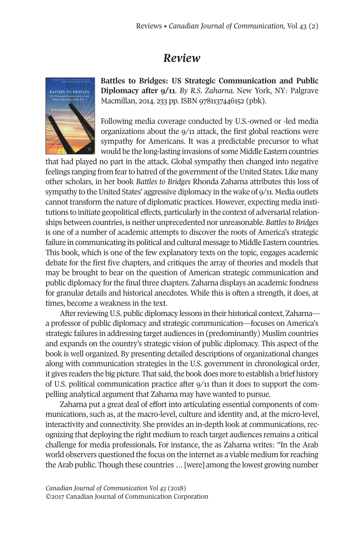## *Review*



**Battles to Bridges: US Strategic Communication and Public Diplomacy after 9/11**. *By R.S. Zaharna.* New York, NY: Palgrave Macmillan, 2014. 233 pp. ISBN 9781137446152 (pbk).

Following media coverage conducted by U.S.-owned or -led media organizations about the 9/11 attack, the first global reactions were sympathy for Americans. It was a predictable precursor to what would be the long-lasting invasions of some Middle Eastern countries

that had played no part in the attack. Global sympathy then changed into negative feelings ranging from fear to hatred of the government of the United States. Like many other scholars, in her book *Battles to Bridges* Rhonda Zaharna attributes this loss of sympathy to the United States' aggressive diplomacy in the wake of  $9/11$ . Media outlets cannot transform the nature of diplomatic practices. However, expecting media institutions to initiate geopolitical effects, particularly in the context of adversarial relationships between countries, is neither unprecedented nor unreasonable. *Battlesto Bridges* is one of a number of academic attempts to discover the roots of America's strategic failure in communicating its political and cultural message to Middle Eastern countries. This book, which is one of the few explanatory texts on the topic, engages academic debate for the first five chapters, and critiques the array of theories and models that may be brought to bear on the question of American strategic communication and public diplomacy for the final three chapters. Zaharna displays an academic fondness for granular details and historical anecdotes. While this is often a strength, it does, at times, become a weakness in the text.

After reviewing U.S. public diplomacy lessons in their historical context, Zaharna a professor of public diplomacy and strategic communication—focuses on America's strategic failures in addressing target audiences in (predominantly) Muslim countries and expands on the country's strategic vision of public diplomacy. This aspect of the book is well organized. By presenting detailed descriptions of organizational changes along with communication strategies in the U.S. government in chronological order, it gives readers the big picture. That said, the book does more to establish a brief history of U.S. political communication practice after 9/11 than it does to support the compelling analytical argument that Zaharna may have wanted to pursue.

Zaharna put a great deal of effort into articulating essential components of communications, such as, at the macro-level, culture and identity and, at the micro-level, interactivity and connectivity. She provides an in-depth look at communications, recognizing that deploying the right medium to reach target audiences remains a critical challenge for media professionals**.** For instance, the as Zaharna writes: "In the Arab world observers questioned the focus on the internet as a viable medium forreaching the Arab public. Though these countries ... [were] among the lowest growing number

*Canadian Journal of [Communication](http://www.cjc-online.ca) Vol 43* (2018) ©2017 Canadian Journal of Communication Corporation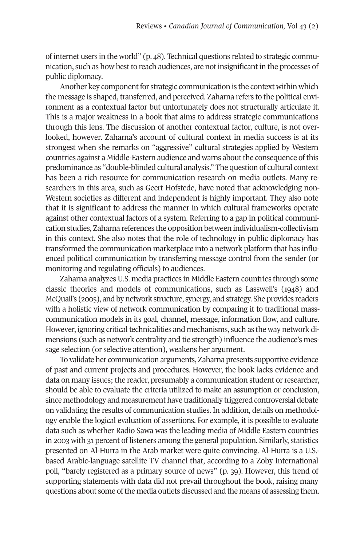of internet users in the world" (p. 48). Technical questions related to strategic communication, such as how best to reach audiences, are not insignificant in the processes of public diplomacy.

Another key component for strategic communication is the context within which the message is shaped, transferred, and perceived. Zaharna refers to the political environment as a contextual factor but unfortunately does not structurally articulate it. This is a major weakness in a book that aims to address strategic communications through this lens. The discussion of another contextual factor, culture, is not overlooked, however. Zaharna's account of cultural context in media success is at its strongest when she remarks on "aggressive" cultural strategies applied by Western countries against a Middle-Eastern audience and warns aboutthe consequence ofthis predominance as "double-blinded cultural analysis." The question of cultural context has been a rich resource for communication research on media outlets. Many researchers in this area, such as Geert Hofstede, have noted that acknowledging non-Western societies as different and independent is highly important. They also note that it is significant to address the manner in which cultural frameworks operate against other contextual factors of a system. Referring to a gap in political communication studies, Zaharna references the opposition between individualism-collectivism in this context. She also notes that the role of technology in public diplomacy has transformed the communication marketplace into a network platform that has influenced political communication by transferring message control from the sender (or monitoring and regulating officials) to audiences.

Zaharna analyzes U.S. media practices in Middle Eastern countries through some classic theories and models of communications, such as Lasswell's (1948) and McQuail's (2005), and by network structure, synergy, and strategy. She provides readers with a holistic view of network communication by comparing it to traditional masscommunication models in its goal, channel, message, information flow, and culture. However, ignoring critical technicalities and mechanisms, such as the way network dimensions (such as network centrality and tie strength) influence the audience's message selection (or selective attention), weakens her argument.

To validate her communication arguments, Zaharna presents supportive evidence of past and current projects and procedures. However, the book lacks evidence and data on many issues; the reader, presumably a communication student or researcher, should be able to evaluate the criteria utilized to make an assumption or conclusion, since methodology and measurement have traditionally triggered controversial debate on validating the results of communication studies. In addition, details on methodology enable the logical evaluation of assertions. For example, it is possible to evaluate data such as whether Radio Sawa was the leading media of Middle Eastern countries in 2003 with 31 percent of listeners among the general population. Similarly, statistics presented on Al-Hurra in the Arab market were quite convincing. Al-Hurra is a U.S. based Arabic-language satellite TV channel that, according to a Zoby International poll, "barely registered as a primary source of news" (p. 39). However, this trend of supporting statements with data did not prevail throughout the book, raising many questions about some of the media outlets discussed and the means of assessing them.